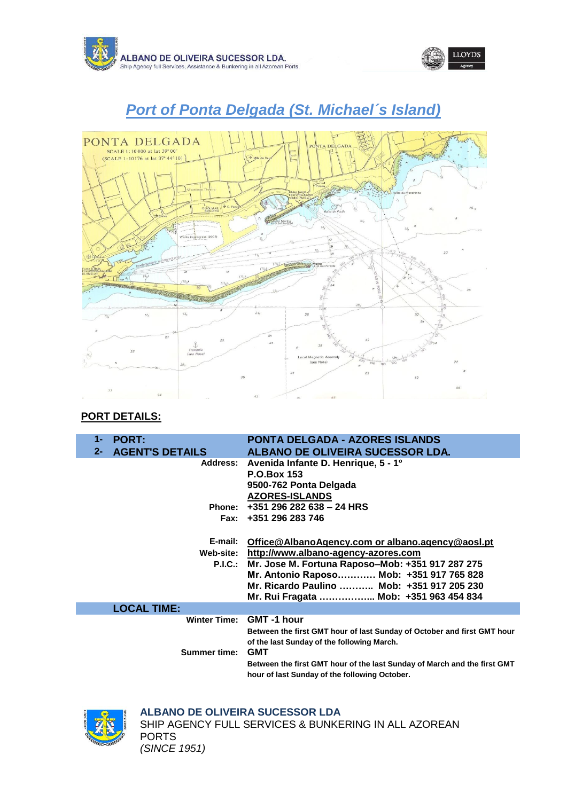





# *Port of Ponta Delgada (St. Michael´s Island)*

### **PORT DETAILS:**

| 1-<br>$2 -$ | <b>PORT:</b><br><b>AGENT'S DETAILS</b> | <b>PONTA DELGADA - AZORES ISLANDS</b><br>ALBANO DE OLIVEIRA SUCESSOR LDA. |
|-------------|----------------------------------------|---------------------------------------------------------------------------|
|             | <b>Address:</b>                        | Avenida Infante D. Henrique, 5 - 1º<br><b>P.O.Box 153</b>                 |
|             |                                        | 9500-762 Ponta Delgada                                                    |
|             |                                        | <b>AZORES-ISLANDS</b>                                                     |
|             |                                        | Phone: +351 296 282 638 - 24 HRS                                          |
|             |                                        | Fax: +351 296 283 746                                                     |
|             |                                        |                                                                           |
|             | E-mail:                                | Office@AlbanoAgency.com or albano.agency@aosl.pt                          |
|             |                                        | Web-site: http://www.albano-agency-azores.com                             |
|             |                                        | P.I.C.: Mr. Jose M. Fortuna Raposo-Mob: +351 917 287 275                  |
|             |                                        | Mr. Antonio Raposo Mob: +351 917 765 828                                  |
|             |                                        | Mr. Ricardo Paulino  Mob: +351 917 205 230                                |
|             |                                        | Mr. Rui Fragata  Mob: +351 963 454 834                                    |
|             | <b>LOCAL TIME:</b>                     |                                                                           |
|             |                                        | Winter Time: GMT -1 hour                                                  |
|             |                                        | Between the first GMT hour of last Sunday of October and first GMT hour   |
|             |                                        | of the last Sunday of the following March.                                |
|             | <b>Summer time:</b>                    | <b>GMT</b>                                                                |
|             |                                        | Between the first GMT hour of the last Sunday of March and the first GMT  |
|             |                                        | hour of last Sunday of the following October.                             |



# **ALBANO DE OLIVEIRA SUCESSOR LDA**

SHIP AGENCY FULL SERVICES & BUNKERING IN ALL AZOREAN PORTS *(SINCE 1951)*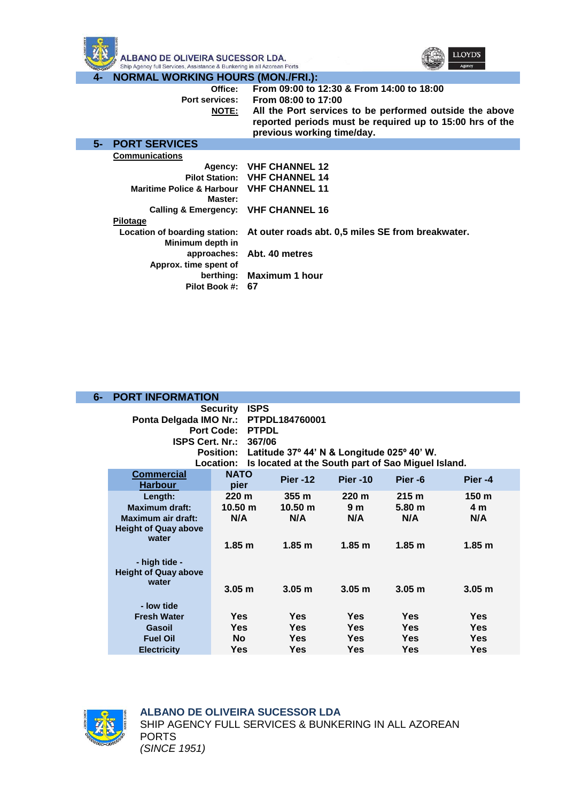



#### **4- NORMAL WORKING HOURS (MON./FRI.):**

| Office:<br>Port services:<br><u>NOTE:</u>                             | From 09:00 to 12:30 & From 14:00 to 18:00<br>From 08:00 to 17:00<br>All the Port services to be performed outside the above<br>reported periods must be required up to 15:00 hrs of the<br>previous working time/day. |
|-----------------------------------------------------------------------|-----------------------------------------------------------------------------------------------------------------------------------------------------------------------------------------------------------------------|
| <b>5- PORT SERVICES</b>                                               |                                                                                                                                                                                                                       |
| <b>Communications</b>                                                 |                                                                                                                                                                                                                       |
|                                                                       | Agency: VHF CHANNEL 12                                                                                                                                                                                                |
|                                                                       | <b>Pilot Station: VHF CHANNEL 14</b>                                                                                                                                                                                  |
| <b>Maritime Police &amp; Harbour VHF CHANNEL 11</b><br><b>Master:</b> |                                                                                                                                                                                                                       |
| Calling & Emergency: VHF CHANNEL 16                                   |                                                                                                                                                                                                                       |
| Pilotage                                                              |                                                                                                                                                                                                                       |
| Minimum depth in                                                      | Location of boarding station: At outer roads abt. 0,5 miles SE from breakwater.                                                                                                                                       |
|                                                                       | approaches: Abt. 40 metres                                                                                                                                                                                            |
| Approx. time spent of                                                 |                                                                                                                                                                                                                       |
|                                                                       | berthing: Maximum 1 hour                                                                                                                                                                                              |
| Pilot Book #: 67                                                      |                                                                                                                                                                                                                       |

| $6-$ | <b>PORT INFORMATION</b>                                                                                                                        |                                                                                                                       |                                                              |                                                                |                                                                   |                                                     |
|------|------------------------------------------------------------------------------------------------------------------------------------------------|-----------------------------------------------------------------------------------------------------------------------|--------------------------------------------------------------|----------------------------------------------------------------|-------------------------------------------------------------------|-----------------------------------------------------|
|      | Ponta Delgada IMO Nr.:<br><b>ISPS Cert. Nr.:</b>                                                                                               | <b>ISPS</b><br><b>Security</b><br><b>Port Code:</b><br><b>PTPDL</b><br>367/06<br><b>Position:</b><br><b>Location:</b> | PTPDL184760001<br>Latitude 37° 44' N & Longitude 025° 40' W. |                                                                | Is located at the South part of Sao Miguel Island.                |                                                     |
|      | <b>Commercial</b><br><b>Harbour</b>                                                                                                            | <b>NATO</b><br>pier                                                                                                   | <b>Pier -12</b>                                              | <b>Pier -10</b>                                                | Pier-6                                                            | Pier -4                                             |
|      | Length:<br><b>Maximum draft:</b><br>Maximum air draft:<br><b>Height of Quay above</b><br>water<br>- high tide -<br><b>Height of Quay above</b> | 220 m<br>10.50 m<br>N/A<br>1.85 <sub>m</sub>                                                                          | 355m<br>10.50 m<br>N/A<br>1.85 <sub>m</sub>                  | 220 <sub>m</sub><br>9 <sub>m</sub><br>N/A<br>1.85 <sub>m</sub> | 215 <sub>m</sub><br>5.80 <sub>m</sub><br>N/A<br>1.85 <sub>m</sub> | 150 <sub>m</sub><br>4 m<br>N/A<br>1.85 <sub>m</sub> |
|      | water                                                                                                                                          | 3.05 <sub>m</sub>                                                                                                     | 3.05 <sub>m</sub>                                            | 3.05 <sub>m</sub>                                              | 3.05 <sub>m</sub>                                                 | 3.05 <sub>m</sub>                                   |
|      | - low tide<br><b>Fresh Water</b><br>Gasoil<br><b>Fuel Oil</b><br><b>Electricity</b>                                                            | Yes<br><b>Yes</b><br>No.<br><b>Yes</b>                                                                                | <b>Yes</b><br><b>Yes</b><br><b>Yes</b><br><b>Yes</b>         | <b>Yes</b><br><b>Yes</b><br><b>Yes</b><br>Yes                  | <b>Yes</b><br>Yes<br><b>Yes</b><br><b>Yes</b>                     | Yes<br>Yes<br>Yes<br>Yes                            |



#### **ALBANO DE OLIVEIRA SUCESSOR LDA** SHIP AGENCY FULL SERVICES & BUNKERING IN ALL AZOREAN PORTS *(SINCE 1951)*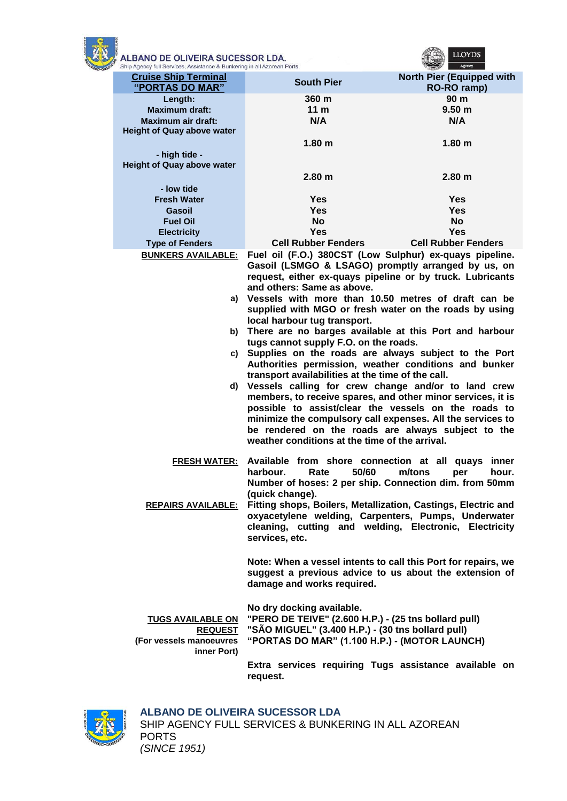

| ALBANO DE OLIVEIRA SUCESSOR LDA.<br>Ship Agency full Services, Assistance & Bunkering in all Azorean Ports |                                                                                                                                                                                                                                                                                                                                                                                                                                                                                                                                                                                                                                                                                                                                                                                                                                                                                                                                                                                              |                                                 |
|------------------------------------------------------------------------------------------------------------|----------------------------------------------------------------------------------------------------------------------------------------------------------------------------------------------------------------------------------------------------------------------------------------------------------------------------------------------------------------------------------------------------------------------------------------------------------------------------------------------------------------------------------------------------------------------------------------------------------------------------------------------------------------------------------------------------------------------------------------------------------------------------------------------------------------------------------------------------------------------------------------------------------------------------------------------------------------------------------------------|-------------------------------------------------|
| <b>Cruise Ship Terminal</b><br>"PORTAS DO MAR"                                                             | <b>South Pier</b>                                                                                                                                                                                                                                                                                                                                                                                                                                                                                                                                                                                                                                                                                                                                                                                                                                                                                                                                                                            | <b>North Pier (Equipped with</b><br>RO-RO ramp) |
| Length:                                                                                                    | 360 m                                                                                                                                                                                                                                                                                                                                                                                                                                                                                                                                                                                                                                                                                                                                                                                                                                                                                                                                                                                        | 90 m                                            |
| <b>Maximum draft:</b>                                                                                      | 11 <sub>m</sub>                                                                                                                                                                                                                                                                                                                                                                                                                                                                                                                                                                                                                                                                                                                                                                                                                                                                                                                                                                              | 9.50 <sub>m</sub>                               |
| <b>Maximum air draft:</b>                                                                                  | N/A                                                                                                                                                                                                                                                                                                                                                                                                                                                                                                                                                                                                                                                                                                                                                                                                                                                                                                                                                                                          | N/A                                             |
| <b>Height of Quay above water</b>                                                                          |                                                                                                                                                                                                                                                                                                                                                                                                                                                                                                                                                                                                                                                                                                                                                                                                                                                                                                                                                                                              |                                                 |
|                                                                                                            | 1.80 <sub>m</sub>                                                                                                                                                                                                                                                                                                                                                                                                                                                                                                                                                                                                                                                                                                                                                                                                                                                                                                                                                                            | 1.80 <sub>m</sub>                               |
| - high tide -                                                                                              |                                                                                                                                                                                                                                                                                                                                                                                                                                                                                                                                                                                                                                                                                                                                                                                                                                                                                                                                                                                              |                                                 |
| <b>Height of Quay above water</b>                                                                          |                                                                                                                                                                                                                                                                                                                                                                                                                                                                                                                                                                                                                                                                                                                                                                                                                                                                                                                                                                                              |                                                 |
|                                                                                                            | 2.80 <sub>m</sub>                                                                                                                                                                                                                                                                                                                                                                                                                                                                                                                                                                                                                                                                                                                                                                                                                                                                                                                                                                            | 2.80 <sub>m</sub>                               |
| - low tide                                                                                                 |                                                                                                                                                                                                                                                                                                                                                                                                                                                                                                                                                                                                                                                                                                                                                                                                                                                                                                                                                                                              |                                                 |
| <b>Fresh Water</b>                                                                                         | Yes                                                                                                                                                                                                                                                                                                                                                                                                                                                                                                                                                                                                                                                                                                                                                                                                                                                                                                                                                                                          | <b>Yes</b>                                      |
| Gasoil                                                                                                     | <b>Yes</b>                                                                                                                                                                                                                                                                                                                                                                                                                                                                                                                                                                                                                                                                                                                                                                                                                                                                                                                                                                                   | <b>Yes</b>                                      |
| <b>Fuel Oil</b>                                                                                            | <b>No</b>                                                                                                                                                                                                                                                                                                                                                                                                                                                                                                                                                                                                                                                                                                                                                                                                                                                                                                                                                                                    | <b>No</b>                                       |
| <b>Electricity</b>                                                                                         | <b>Yes</b>                                                                                                                                                                                                                                                                                                                                                                                                                                                                                                                                                                                                                                                                                                                                                                                                                                                                                                                                                                                   | <b>Yes</b>                                      |
| <b>Type of Fenders</b>                                                                                     | <b>Cell Rubber Fenders</b>                                                                                                                                                                                                                                                                                                                                                                                                                                                                                                                                                                                                                                                                                                                                                                                                                                                                                                                                                                   | <b>Cell Rubber Fenders</b>                      |
| <b>BUNKERS AVAILABLE:</b><br>b)<br>C)                                                                      | Fuel oil (F.O.) 380CST (Low Sulphur) ex-quays pipeline.<br>Gasoil (LSMGO & LSAGO) promptly arranged by us, on<br>request, either ex-quays pipeline or by truck. Lubricants<br>and others: Same as above.<br>a) Vessels with more than 10.50 metres of draft can be<br>supplied with MGO or fresh water on the roads by using<br>local harbour tug transport.<br>There are no barges available at this Port and harbour<br>tugs cannot supply F.O. on the roads.<br>Supplies on the roads are always subject to the Port<br>Authorities permission, weather conditions and bunker<br>transport availabilities at the time of the call.<br>d) Vessels calling for crew change and/or to land crew<br>members, to receive spares, and other minor services, it is<br>possible to assist/clear the vessels on the roads to<br>minimize the compulsory call expenses. All the services to<br>be rendered on the roads are always subject to the<br>weather conditions at the time of the arrival. |                                                 |
| <b>FRESH WATER:</b><br><b>REPAIRS AVAILABLE:</b>                                                           | Available from shore connection at all quays inner<br>Rate<br>50/60<br>harbour.<br>Number of hoses: 2 per ship. Connection dim. from 50mm<br>(quick change).<br>Fitting shops, Boilers, Metallization, Castings, Electric and<br>oxyacetylene welding, Carpenters, Pumps, Underwater<br>cleaning, cutting and welding, Electronic, Electricity<br>services, etc.                                                                                                                                                                                                                                                                                                                                                                                                                                                                                                                                                                                                                             | m/tons<br>per<br>hour.                          |
| <b>TUGS AVAILABLE ON</b><br><b>REQUEST</b><br>(For vessels manoeuvres<br>inner Port)                       | Note: When a vessel intents to call this Port for repairs, we<br>suggest a previous advice to us about the extension of<br>damage and works required.<br>No dry docking available.<br>"PERO DE TEIVE" (2.600 H.P.) - (25 tns bollard pull)<br>"SÃO MIGUEL" (3.400 H.P.) - (30 tns bollard pull)<br>"PORTAS DO MAR" (1.100 H.P.) - (MOTOR LAUNCH)<br>Extra services requiring Tugs assistance available on<br>request.                                                                                                                                                                                                                                                                                                                                                                                                                                                                                                                                                                        |                                                 |
|                                                                                                            |                                                                                                                                                                                                                                                                                                                                                                                                                                                                                                                                                                                                                                                                                                                                                                                                                                                                                                                                                                                              |                                                 |



#### **ALBANO DE OLIVEIRA SUCESSOR LDA** SHIP AGENCY FULL SERVICES & BUNKERING IN ALL AZOREAN PORTS *(SINCE 1951)*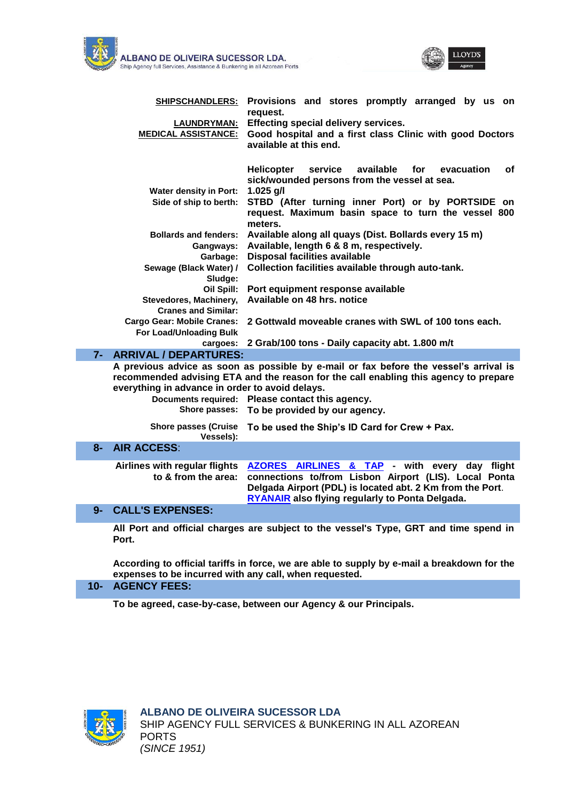



|      | <b>SHIPSCHANDLERS:</b>                                                        | Provisions and stores promptly arranged by us on<br>request.                                                                                                                                                                  |
|------|-------------------------------------------------------------------------------|-------------------------------------------------------------------------------------------------------------------------------------------------------------------------------------------------------------------------------|
|      | <u>LAUNDRYMAN:</u><br><b>MEDICAL ASSISTANCE:</b>                              | Effecting special delivery services.<br>Good hospital and a first class Clinic with good Doctors<br>available at this end.                                                                                                    |
|      |                                                                               | <b>Helicopter</b><br>service<br>available<br>for<br>evacuation<br>οf<br>sick/wounded persons from the vessel at sea.                                                                                                          |
|      | <b>Water density in Port:</b>                                                 | $1.025$ g/l                                                                                                                                                                                                                   |
|      | Side of ship to berth:                                                        | STBD (After turning inner Port) or by PORTSIDE on<br>request. Maximum basin space to turn the vessel 800<br>meters.                                                                                                           |
|      | <b>Bollards and fenders:</b><br>Gangways:                                     | Available along all quays (Dist. Bollards every 15 m)<br>Available, length 6 & 8 m, respectively.                                                                                                                             |
|      | Garbage:                                                                      | <b>Disposal facilities available</b>                                                                                                                                                                                          |
|      | Sewage (Black Water) /                                                        | Collection facilities available through auto-tank.                                                                                                                                                                            |
|      | Sludge:<br>Oil Spill:                                                         | Port equipment response available                                                                                                                                                                                             |
|      | Stevedores, Machinery,                                                        | Available on 48 hrs. notice                                                                                                                                                                                                   |
|      | <b>Cranes and Similar:</b>                                                    |                                                                                                                                                                                                                               |
|      | <b>Cargo Gear: Mobile Cranes:</b>                                             | 2 Gottwald moveable cranes with SWL of 100 tons each.                                                                                                                                                                         |
|      | For Load/Unloading Bulk                                                       |                                                                                                                                                                                                                               |
|      | cargoes:                                                                      | 2 Grab/100 tons - Daily capacity abt. 1.800 m/t                                                                                                                                                                               |
|      | 7- ARRIVAL / DEPARTURES:                                                      |                                                                                                                                                                                                                               |
|      | everything in advance in order to avoid delays.<br><b>Documents required:</b> | A previous advice as soon as possible by e-mail or fax before the vessel's arrival is<br>recommended advising ETA and the reason for the call enabling this agency to prepare<br>Please contact this agency.                  |
|      | Shore passes:                                                                 | To be provided by our agency.                                                                                                                                                                                                 |
|      | <b>Shore passes (Cruise</b><br>Vessels):                                      | To be used the Ship's ID Card for Crew + Pax.                                                                                                                                                                                 |
| 8-   | <b>AIR ACCESS:</b>                                                            |                                                                                                                                                                                                                               |
|      | Airlines with regular flights<br>to & from the area:                          | AZORES AIRLINES & TAP - with every day flight<br>connections to/from Lisbon Airport (LIS). Local Ponta<br>Delgada Airport (PDL) is located abt. 2 Km from the Port.<br><b>RYANAIR also flying regularly to Ponta Delgada.</b> |
| $9-$ | <b>CALL'S EXPENSES:</b>                                                       |                                                                                                                                                                                                                               |
|      | Port.                                                                         | All Port and official charges are subject to the vessel's Type, GRT and time spend in                                                                                                                                         |

**According to official tariffs in force, we are able to supply by e-mail a breakdown for the expenses to be incurred with any call, when requested.**

#### **10- AGENCY FEES:**

**[To be agreed, case-by-case, between](http://www.albano-agency-azores.com/) our Agency & our Principals.**